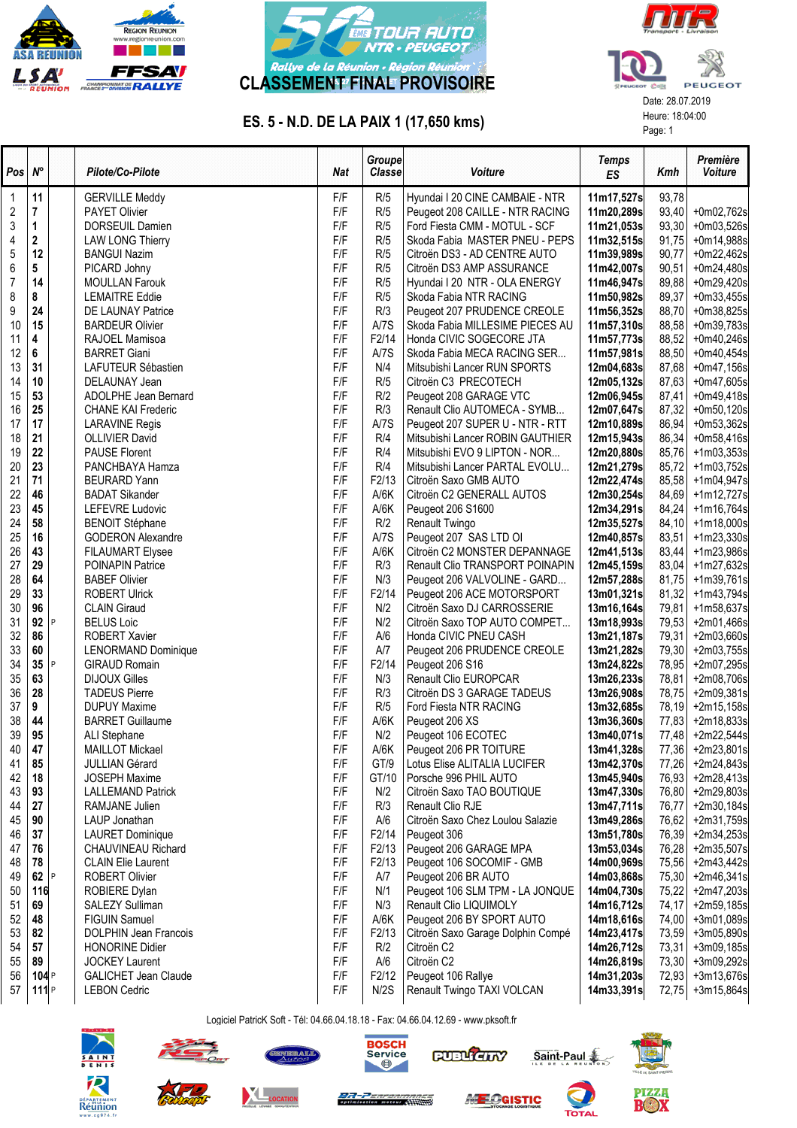





## ES. 5 - N.D. DE LA PAIX 1 (17,650 kms) Heure: 18:04:00

| Pos | $N^{\circ}$ |   | Pilote/Co-Pilote             | <b>Nat</b> | Groupe<br>Classe   | <b>Voiture</b>                    | Temps<br>ES | Kmh   | Première<br><b>Voiture</b> |
|-----|-------------|---|------------------------------|------------|--------------------|-----------------------------------|-------------|-------|----------------------------|
| 1   | 11          |   | <b>GERVILLE Meddy</b>        | F/F        | R/5                | Hyundai I 20 CINE CAMBAIE - NTR   | 11m17,527s  | 93,78 |                            |
| 2   | 7           |   | <b>PAYET Olivier</b>         | F/F        | R/5                | Peugeot 208 CAILLE - NTR RACING   | 11m20,289s  | 93,40 | +0m02,762s                 |
| 3   | 1           |   | DORSEUIL Damien              | F/F        | R/5                | Ford Fiesta CMM - MOTUL - SCF     | 11m21,053s  | 93,30 | +0m03,526s                 |
| 4   | 2           |   | <b>LAW LONG Thierry</b>      | F/F        | R/5                | Skoda Fabia MASTER PNEU - PEPS    | 11m32,515s  | 91,75 | +0m14,988s                 |
| 5   | 12          |   | <b>BANGUI Nazim</b>          | F/F        | R/5                | Citroën DS3 - AD CENTRE AUTO      | 11m39,989s  | 90,77 | +0m22,462s                 |
| 6   | 5           |   | PICARD Johny                 | F/F        | R/5                | Citroën DS3 AMP ASSURANCE         | 11m42,007s  | 90,51 | +0m24,480s                 |
| 7   | 14          |   | <b>MOULLAN Farouk</b>        | F/F        | R/5                | Hyundai I 20 NTR - OLA ENERGY     | 11m46,947s  | 89,88 | +0m29,420s                 |
| 8   | 8           |   | <b>LEMAITRE Eddie</b>        | F/F        | R/5                | Skoda Fabia NTR RACING            | 11m50,982s  | 89,37 | $+0m33,455s$               |
| 9   | 24          |   | DE LAUNAY Patrice            | F/F        | R/3                | Peugeot 207 PRUDENCE CREOLE       | 11m56,352s  | 88,70 | +0m38,825s                 |
| 10  | 15          |   | <b>BARDEUR Olivier</b>       | F/F        | A/7S               | Skoda Fabia MILLESIME PIECES AU   | 11m57,310s  | 88,58 | +0m39,783s                 |
| 11  | 4           |   | RAJOEL Mamisoa               | F/F        | F2/14              | Honda CIVIC SOGECORE JTA          | 11m57,773s  | 88,52 | $+0m40,246s$               |
| 12  | 6           |   | <b>BARRET Giani</b>          | F/F        | A/7S               | Skoda Fabia MECA RACING SER       | 11m57,981s  | 88,50 | $+0m40,454s$               |
| 13  | 31          |   | LAFUTEUR Sébastien           | F/F        | N/4                | Mitsubishi Lancer RUN SPORTS      | 12m04,683s  | 87,68 |                            |
|     |             |   |                              | F/F        |                    |                                   |             |       | +0m47,156s                 |
| 14  | 10          |   | DELAUNAY Jean                |            | R/5                | Citroën C3 PRECOTECH              | 12m05,132s  | 87,63 | +0m47,605s                 |
| 15  | 53          |   | ADOLPHE Jean Bernard         | F/F        | R/2                | Peugeot 208 GARAGE VTC            | 12m06,945s  | 87,41 | +0m49,418s                 |
| 16  | 25          |   | CHANE KAI Frederic           | F/F        | R/3                | Renault Clio AUTOMECA - SYMB      | 12m07,647s  | 87,32 | $+0m50,120s$               |
| 17  | 17          |   | <b>LARAVINE Regis</b>        | F/F        | A/7S               | Peugeot 207 SUPER U - NTR - RTT   | 12m10,889s  | 86,94 | $+0m53,362s$               |
| 18  | 21          |   | <b>OLLIVIER David</b>        | F/F        | R/4                | Mitsubishi Lancer ROBIN GAUTHIER  | 12m15,943s  | 86,34 | +0m58,416s                 |
| 19  | 22          |   | <b>PAUSE Florent</b>         | F/F        | R/4                | Mitsubishi EVO 9 LIPTON - NOR     | 12m20,880s  | 85,76 | $+1m03,353s$               |
| 20  | 23          |   | PANCHBAYA Hamza              | F/F        | R/4                | Mitsubishi Lancer PARTAL EVOLU    | 12m21,279s  | 85,72 | +1m03,752s                 |
| 21  | 71          |   | <b>BEURARD Yann</b>          | F/F        | F2/13              | Citroën Saxo GMB AUTO             | 12m22,474s  | 85,58 | +1m04,947s                 |
| 22  | 46          |   | <b>BADAT Sikander</b>        | F/F        | A/6K               | Citroën C2 GENERALL AUTOS         | 12m30,254s  | 84,69 | +1m12,727s                 |
| 23  | 45          |   | LEFEVRE Ludovic              | F/F        | A/6K               | Peugeot 206 S1600                 | 12m34,291s  | 84,24 | +1m16,764s                 |
| 24  | 58          |   | <b>BENOIT Stéphane</b>       | F/F        | R/2                | Renault Twingo                    | 12m35,527s  | 84,10 | +1m18,000s                 |
| 25  | 16          |   | <b>GODERON Alexandre</b>     | F/F        | A/7S               | Peugeot 207 SAS LTD OI            | 12m40,857s  | 83,51 | +1m23,330s                 |
| 26  | 43          |   | <b>FILAUMART Elysee</b>      | F/F        | A/6K               | Citroën C2 MONSTER DEPANNAGE      | 12m41,513s  | 83,44 | +1m23,986s                 |
| 27  | 29          |   | <b>POINAPIN Patrice</b>      | F/F        | R/3                | Renault Clio TRANSPORT POINAPIN   | 12m45,159s  | 83,04 | +1m27,632s                 |
| 28  | 64          |   | <b>BABEF Olivier</b>         | F/F        | N/3                | Peugeot 206 VALVOLINE - GARD      | 12m57,288s  | 81,75 | +1m39,761s                 |
| 29  | 33          |   | ROBERT Ulrick                | F/F        | F <sub>2</sub> /14 | Peugeot 206 ACE MOTORSPORT        | 13m01,321s  | 81,32 | +1m43,794s                 |
| 30  | 96          |   | <b>CLAIN Giraud</b>          | F/F        | N/2                | Citroën Saxo DJ CARROSSERIE       | 13m16,164s  | 79,81 | +1m58,637s                 |
| 31  | 92          | P | <b>BELUS Loic</b>            | F/F        | N/2                | Citroën Saxo TOP AUTO COMPET      | 13m18,993s  | 79,53 | +2m01,466s                 |
| 32  | 86          |   | <b>ROBERT Xavier</b>         | F/F        | A/6                | Honda CIVIC PNEU CASH             | 13m21,187s  | 79,31 | $+2m03,660s$               |
| 33  | 60          |   | LENORMAND Dominique          | F/F        | A/7                | Peugeot 206 PRUDENCE CREOLE       | 13m21,282s  | 79,30 | +2m03,755s                 |
| 34  | 35          | P | <b>GIRAUD Romain</b>         | F/F        | F <sub>2</sub> /14 | Peugeot 206 S16                   | 13m24,822s  | 78,95 | +2m07,295s                 |
| 35  | 63          |   | <b>DIJOUX Gilles</b>         | F/F        | N/3                | Renault Clio EUROPCAR             | 13m26,233s  | 78,81 | +2m08,706s                 |
| 36  | 28          |   | <b>TADEUS Pierre</b>         | F/F        | R/3                | Citroën DS 3 GARAGE TADEUS        | 13m26,908s  | 78,75 | +2m09,381s                 |
| 37  | 9           |   | <b>DUPUY Maxime</b>          | F/F        | R/5                | Ford Fiesta NTR RACING            | 13m32,685s  |       |                            |
|     |             |   |                              | F/F        |                    |                                   |             | 78,19 | +2m15,158s                 |
| 38  | 44          |   | <b>BARRET Guillaume</b>      |            | A/6K               | Peugeot 206 XS                    | 13m36,360s  | 77,83 | +2m18,833s                 |
| 39  | 95          |   | ALI Stephane                 | F/F        | N/2                | Peugeot 106 ECOTEC                | 13m40,071s  | 77,48 | +2m22,544s                 |
| 40  | 47          |   | <b>MAILLOT Mickael</b>       | F/F        | A/6K               | Peugeot 206 PR TOITURE            | 13m41,328s  | 77,36 | +2m23,801s                 |
| 41  | 85          |   | <b>JULLIAN Gérard</b>        | F/F        | GT/9               | Lotus Elise ALITALIA LUCIFER      | 13m42,370s  | 77,26 | +2m24,843s                 |
| 42  | 18          |   | <b>JOSEPH Maxime</b>         | F/F        | GT/10              | Porsche 996 PHIL AUTO             | 13m45,940s  | 76,93 | +2m28,413s                 |
| 43  | 93          |   | <b>LALLEMAND Patrick</b>     | F/F        | N/2                | Citroën Saxo TAO BOUTIQUE         | 13m47,330s  | 76,80 | +2m29,803s                 |
| 44  | 27          |   | <b>RAMJANE Julien</b>        | F/F        | R/3                | Renault Clio RJE                  | 13m47,711s  | 76,77 | +2m30,184s                 |
| 45  | 90          |   | LAUP Jonathan                | F/F        | A/6                | Citroën Saxo Chez Loulou Salazie  | 13m49,286s  | 76,62 | +2m31,759s                 |
| 46  | 37          |   | <b>LAURET Dominique</b>      | F/F        | F2/14              | Peugeot 306                       | 13m51,780s  | 76,39 | +2m34,253s                 |
| 47  | 76          |   | CHAUVINEAU Richard           | F/F        | F2/13              | Peugeot 206 GARAGE MPA            | 13m53,034s  | 76,28 | +2m35,507s                 |
| 48  | 78          |   | <b>CLAIN Elie Laurent</b>    | F/F        | F2/13              | Peugeot 106 SOCOMIF - GMB         | 14m00,969s  | 75,56 | +2m43,442s                 |
| 49  | 62          | P | <b>ROBERT Olivier</b>        | F/F        | A/7                | Peugeot 206 BR AUTO               | 14m03,868s  | 75,30 | +2m46,341s                 |
| 50  | 116         |   | ROBIERE Dylan                | F/F        | N/1                | Peugeot 106 SLM TPM - LA JONQUE   | 14m04,730s  | 75,22 | +2m47,203s                 |
| 51  | 69          |   | SALEZY Sulliman              | F/F        | N/3                | Renault Clio LIQUIMOLY            | 14m16,712s  | 74,17 | +2m59,185s                 |
| 52  | 48          |   | <b>FIGUIN Samuel</b>         | F/F        | A/6K               | Peugeot 206 BY SPORT AUTO         | 14m18,616s  | 74,00 | +3m01,089s                 |
| 53  | 82          |   | <b>DOLPHIN Jean Francois</b> | F/F        | F2/13              | Citroën Saxo Garage Dolphin Compé | 14m23,417s  | 73,59 | +3m05,890s                 |
| 54  | 57          |   | <b>HONORINE Didier</b>       | F/F        | R/2                | Citroën C2                        | 14m26,712s  | 73,31 | +3m09,185s                 |
| 55  | 89          |   | <b>JOCKEY Laurent</b>        | F/F        | A/6                | Citroën C2                        | 14m26,819s  | 73,30 | +3m09,292s                 |
| 56  | 104P        |   | GALICHET Jean Claude         | F/F        | F2/12              | Peugeot 106 Rallye                | 14m31,203s  | 72,93 | +3m13,676s                 |
| 57  | 111P        |   | <b>LEBON Cedric</b>          | F/F        | N/2S               | Renault Twingo TAXI VOLCAN        | 14m33,391s  | 72,75 | +3m15,864s                 |
|     |             |   |                              |            |                    |                                   |             |       |                            |

Logiciel PatricK Soft - Tél: 04.66.04.18.18 - Fax: 04.66.04.12.69 - www.pksoft.fr









Saint-Paul